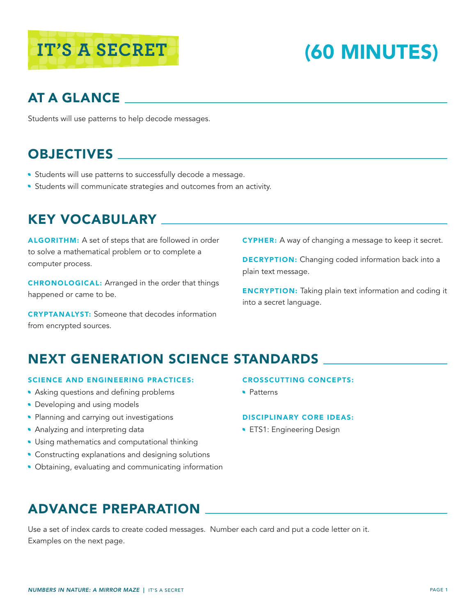# **IT'S A SECRET (60 MINUTES)**

# AT A GLANCE

Students will use patterns to help decode messages.

# OBJECTIVES

- **Students will use patterns to successfully decode a message.**
- **Students will communicate strategies and outcomes from an activity.**

#### KEY VOCABULARY

ALGORITHM: A set of steps that are followed in order to solve a mathematical problem or to complete a computer process.

CHRONOLOGICAL: Arranged in the order that things happened or came to be.

CRYPTANALYST: Someone that decodes information from encrypted sources.

CYPHER: A way of changing a message to keep it secret.

**DECRYPTION:** Changing coded information back into a plain text message.

**ENCRYPTION:** Taking plain text information and coding it into a secret language.

## NEXT GENERATION SCIENCE STANDARDS

#### SCIENCE AND ENGINEERING PRACTICES:

- Asking questions and defining problems
- Developing and using models
- Planning and carrying out investigations
- **Analyzing and interpreting data**
- **Using mathematics and computational thinking**
- Constructing explanations and designing solutions
- Obtaining, evaluating and communicating information

#### CROSSCUTTING CONCEPTS:

• Patterns

#### DISCIPLINARY CORE IDEAS:

**ETS1: Engineering Design** 

## ADVANCE PREPARATION

Use a set of index cards to create coded messages. Number each card and put a code letter on it. Examples on the next page.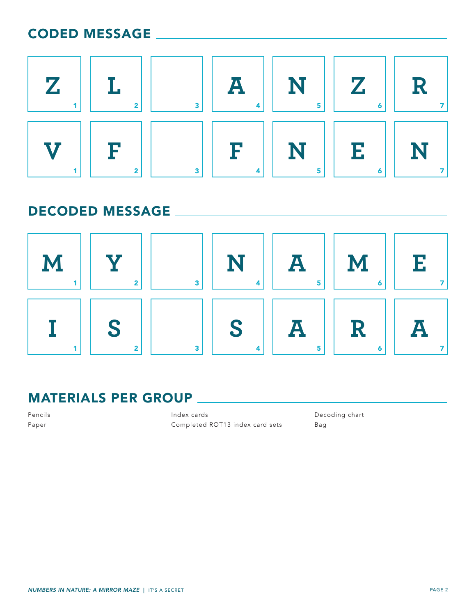#### CODED MESSAGE



#### DECODED MESSAGE



#### MATERIALS PER GROUP

Pencils Paper

Index cards Completed ROT13 index card sets Decoding chart Bag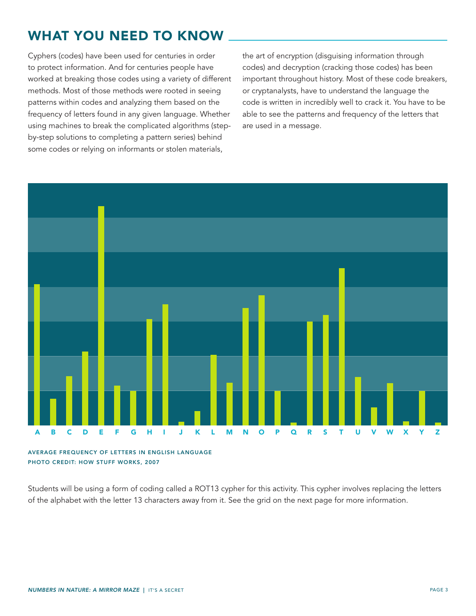#### WHAT YOU NEED TO KNOW

Cyphers (codes) have been used for centuries in order to protect information. And for centuries people have worked at breaking those codes using a variety of different methods. Most of those methods were rooted in seeing patterns within codes and analyzing them based on the frequency of letters found in any given language. Whether using machines to break the complicated algorithms (stepby-step solutions to completing a pattern series) behind some codes or relying on informants or stolen materials,

the art of encryption (disguising information through codes) and decryption (cracking those codes) has been important throughout history. Most of these code breakers, or cryptanalysts, have to understand the language the code is written in incredibly well to crack it. You have to be able to see the patterns and frequency of the letters that are used in a message.



AVERAGE FREQUENCY OF LETTERS IN ENGLISH LANGUAGE PHOTO CREDIT: HOW STUFF WORKS, 2007

Students will be using a form of coding called a ROT13 cypher for this activity. This cypher involves replacing the letters of the alphabet with the letter 13 characters away from it. See the grid on the next page for more information.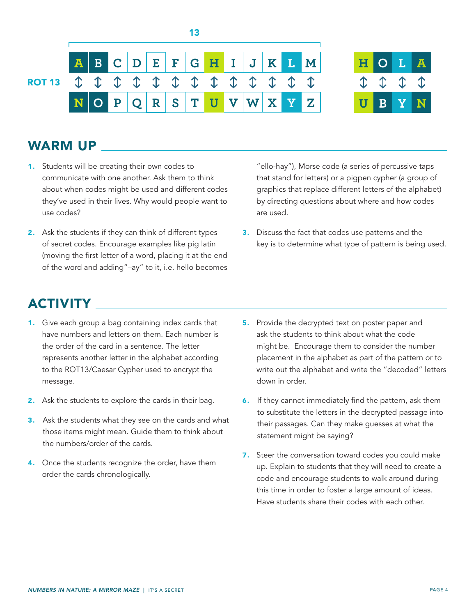

13



#### WARM UP

- 1. Students will be creating their own codes to communicate with one another. Ask them to think about when codes might be used and different codes they've used in their lives. Why would people want to use codes?
- 2. Ask the students if they can think of different types of secret codes. Encourage examples like pig latin (moving the first letter of a word, placing it at the end of the word and adding"–ay" to it, i.e. hello becomes

"ello-hay"), Morse code (a series of percussive taps that stand for letters) or a pigpen cypher (a group of graphics that replace different letters of the alphabet) by directing questions about where and how codes are used.

3. Discuss the fact that codes use patterns and the key is to determine what type of pattern is being used.

#### ACTIVITY

- 1. Give each group a bag containing index cards that have numbers and letters on them. Each number is the order of the card in a sentence. The letter represents another letter in the alphabet according to the ROT13/Caesar Cypher used to encrypt the message.
- 2. Ask the students to explore the cards in their bag.
- 3. Ask the students what they see on the cards and what those items might mean. Guide them to think about the numbers/order of the cards.
- 4. Once the students recognize the order, have them order the cards chronologically.
- 5. Provide the decrypted text on poster paper and ask the students to think about what the code might be. Encourage them to consider the number placement in the alphabet as part of the pattern or to write out the alphabet and write the "decoded" letters down in order.
- 6. If they cannot immediately find the pattern, ask them to substitute the letters in the decrypted passage into their passages. Can they make guesses at what the statement might be saying?
- 7. Steer the conversation toward codes you could make up. Explain to students that they will need to create a code and encourage students to walk around during this time in order to foster a large amount of ideas. Have students share their codes with each other.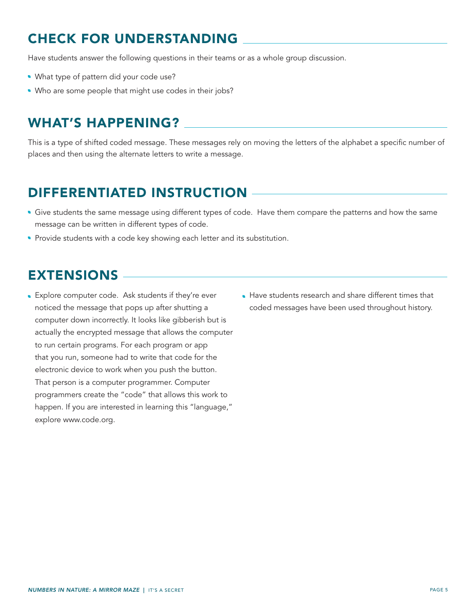#### CHECK FOR UNDERSTANDING

Have students answer the following questions in their teams or as a whole group discussion.

- What type of pattern did your code use?
- . Who are some people that might use codes in their jobs?

#### WHAT'S HAPPENING?

This is a type of shifted coded message. These messages rely on moving the letters of the alphabet a specific number of places and then using the alternate letters to write a message.

#### DIFFERENTIATED INSTRUCTION

- Give students the same message using different types of code. Have them compare the patterns and how the same message can be written in different types of code.
- Provide students with a code key showing each letter and its substitution.

#### EXTENSIONS

- Explore computer code. Ask students if they're ever noticed the message that pops up after shutting a computer down incorrectly. It looks like gibberish but is actually the encrypted message that allows the computer to run certain programs. For each program or app that you run, someone had to write that code for the electronic device to work when you push the button. That person is a computer programmer. Computer programmers create the "code" that allows this work to happen. If you are interested in learning this "language," explore www.code.org.
- Have students research and share different times that coded messages have been used throughout history.